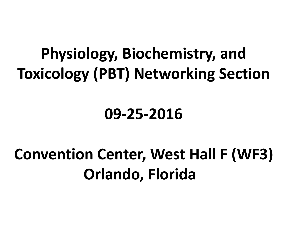# **Physiology, Biochemistry, and Toxicology (PBT) Networking Section**

## **09-25-2016**

# **Convention Center, West Hall F (WF3) Orlando, Florida**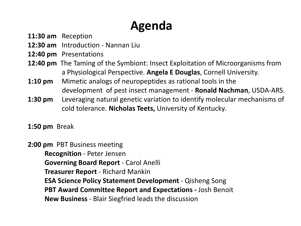### **Agenda**

- **11:30 am** Reception
- **12:30 am** Introduction Nannan Liu
- **12:40 pm** Presentations
- **12:40 pm** The Taming of the Symbiont: Insect Exploitation of Microorganisms from a Physiological Perspective. **Angela E Douglas**, Cornell University.
- **1:10 pm** Mimetic analogs of neuropeptides as rational tools in the development of pest insect management - **Ronald Nachman**, USDA-ARS.
- **1:30 pm** Leveraging natural genetic variation to identify molecular mechanisms of cold tolerance. **Nicholas Teets,** University of Kentucky.
- **1:50 pm** Break

**2:00 pm** PBT Business meeting **Recognition** - Peter Jensen **Governing Board Report** - Carol Anelli **Treasurer Report** - Richard Mankin **ESA Science Policy Statement Development** - Qisheng Song **PBT Award Committee Report and Expectations -** Josh Benoit **New Business** - Blair Siegfried leads the discussion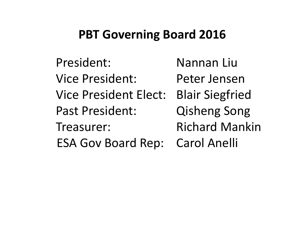### **PBT Governing Board 2016**

President: Nannan Liu Vice President: Peter Jensen Vice President Elect: Blair Siegfried Past President: Qisheng Song Treasurer: Richard Mankin ESA Gov Board Rep: Carol Anelli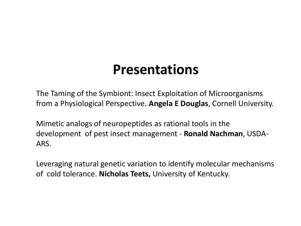## **Presentations**

The Taming of the Symbiont: Insect Exploitation of Microorganisms from a Physiological Perspective. **Angela E Douglas**, Cornell University.

Mimetic analogs of neuropeptides as rational tools in the development of pest insect management - **Ronald Nachman**, USDA-ARS.

Leveraging natural genetic variation to identify molecular mechanisms of cold tolerance. **Nicholas Teets,** University of Kentucky.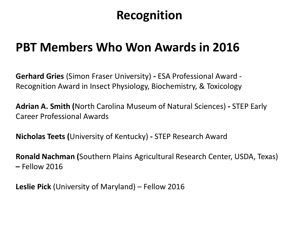### **PBT Members Who Won Awards in 2016**

**Gerhard Gries** (Simon Fraser University) **-** ESA Professional Award - Recognition Award in Insect Physiology, Biochemistry, & Toxicology

**Adrian A. Smith (**North Carolina Museum of Natural Sciences) **-** STEP Early Career Professional Awards

**Nicholas Teets (**University of Kentucky) **-** STEP Research Award

**Ronald Nachman (**Southern Plains Agricultural Research Center, USDA, Texas) **–** Fellow 2016

**Leslie Pick** (University of Maryland) – Fellow 2016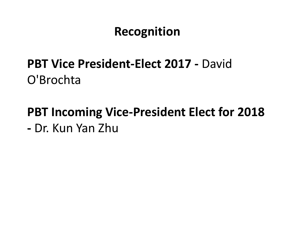### **PBT Vice President-Elect 2017 -** David O'Brochta

# **PBT Incoming Vice-President Elect for 2018**

**-** Dr. Kun Yan Zhu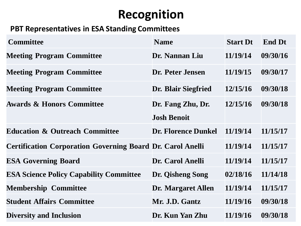### **PBT Representatives in ESA Standing Committees**

| <b>Committee</b>                                                  | <b>Name</b>                | <b>Start Dt</b> | <b>End Dt</b> |
|-------------------------------------------------------------------|----------------------------|-----------------|---------------|
| <b>Meeting Program Committee</b>                                  | Dr. Nannan Liu             | 11/19/14        | 09/30/16      |
| <b>Meeting Program Committee</b>                                  | Dr. Peter Jensen           | 11/19/15        | 09/30/17      |
| <b>Meeting Program Committee</b>                                  | Dr. Blair Siegfried        | 12/15/16        | 09/30/18      |
| <b>Awards &amp; Honors Committee</b>                              | Dr. Fang Zhu, Dr.          | 12/15/16        | 09/30/18      |
|                                                                   | <b>Josh Benoit</b>         |                 |               |
| <b>Education &amp; Outreach Committee</b>                         | <b>Dr. Florence Dunkel</b> | 11/19/14        | 11/15/17      |
| <b>Certification Corporation Governing Board Dr. Carol Anelli</b> |                            | 11/19/14        | 11/15/17      |
| <b>ESA Governing Board</b>                                        | Dr. Carol Anelli           | 11/19/14        | 11/15/17      |
| <b>ESA Science Policy Capability Committee</b>                    | Dr. Qisheng Song           | 02/18/16        | 11/14/18      |
| <b>Membership Committee</b>                                       | <b>Dr. Margaret Allen</b>  | 11/19/14        | 11/15/17      |
| <b>Student Affairs Committee</b>                                  | Mr. J.D. Gantz             | 11/19/16        | 09/30/18      |
| <b>Diversity and Inclusion</b>                                    | Dr. Kun Yan Zhu            | 11/19/16        | 09/30/18      |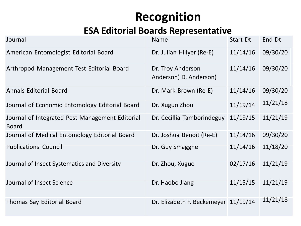### **ESA Editorial Boards Representative**

| Journal                                                         | <b>Name</b>                                 | Start Dt | End Dt   |
|-----------------------------------------------------------------|---------------------------------------------|----------|----------|
| American Entomologist Editorial Board                           | Dr. Julian Hillyer (Re-E)                   | 11/14/16 | 09/30/20 |
| Arthropod Management Test Editorial Board                       | Dr. Troy Anderson<br>Anderson) D. Anderson) | 11/14/16 | 09/30/20 |
| <b>Annals Editorial Board</b>                                   | Dr. Mark Brown (Re-E)                       | 11/14/16 | 09/30/20 |
| Journal of Economic Entomology Editorial Board                  | Dr. Xuguo Zhou                              | 11/19/14 | 11/21/18 |
| Journal of Integrated Pest Management Editorial<br><b>Board</b> | Dr. Cecillia Tamborindeguy                  | 11/19/15 | 11/21/19 |
| Journal of Medical Entomology Editorial Board                   | Dr. Joshua Benoit (Re-E)                    | 11/14/16 | 09/30/20 |
| <b>Publications Council</b>                                     | Dr. Guy Smagghe                             | 11/14/16 | 11/18/20 |
| Journal of Insect Systematics and Diversity                     | Dr. Zhou, Xuguo                             | 02/17/16 | 11/21/19 |
| Journal of Insect Science                                       | Dr. Haobo Jiang                             | 11/15/15 | 11/21/19 |
| Thomas Say Editorial Board                                      | Dr. Elizabeth F. Beckemeyer 11/19/14        |          | 11/21/18 |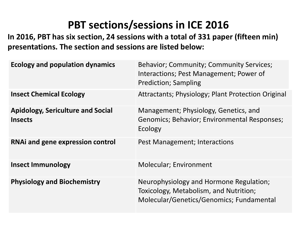### **PBT sections/sessions in ICE 2016**

**In 2016, PBT has six section, 24 sessions with a total of 331 paper (fifteen min) presentations. The section and sessions are listed below:**

| <b>Ecology and population dynamics</b>                     | Behavior; Community; Community Services;<br>Interactions; Pest Management; Power of<br><b>Prediction; Sampling</b>            |
|------------------------------------------------------------|-------------------------------------------------------------------------------------------------------------------------------|
| <b>Insect Chemical Ecology</b>                             | Attractants; Physiology; Plant Protection Original                                                                            |
| <b>Apidology, Sericulture and Social</b><br><b>Insects</b> | Management; Physiology, Genetics, and<br>Genomics; Behavior; Environmental Responses;<br>Ecology                              |
| <b>RNAi and gene expression control</b>                    | Pest Management; Interactions                                                                                                 |
| <b>Insect Immunology</b>                                   | <b>Molecular; Environment</b>                                                                                                 |
| <b>Physiology and Biochemistry</b>                         | Neurophysiology and Hormone Regulation;<br>Toxicology, Metabolism, and Nutrition;<br>Molecular/Genetics/Genomics; Fundamental |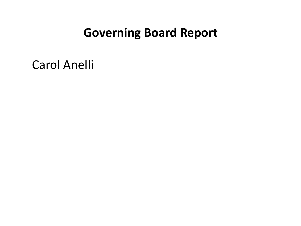### **Governing Board Report**

Carol Anelli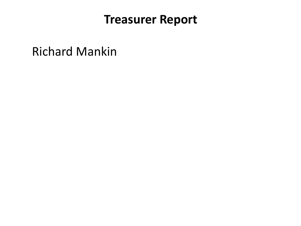### **Treasurer Report**

Richard Mankin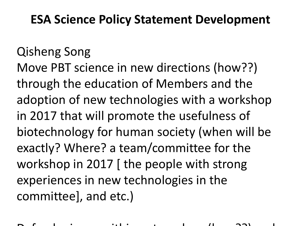### **ESA Science Policy Statement Development**

## Qisheng Song

Move PBT science in new directions (how??) through the education of Members and the adoption of new technologies with a workshop in 2017 that will promote the usefulness of biotechnology for human society (when will be exactly? Where? a team/committee for the workshop in 2017 [ the people with strong experiences in new technologies in the committee], and etc.)

 $D$ efend science with the science with the science with  $D$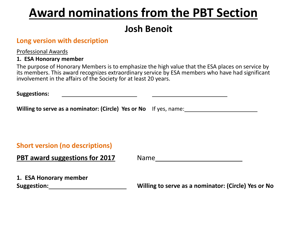### **Award nominations from the PBT Section**

### **Josh Benoit**

#### **Long version with description**

Professional Awards

#### **1. ESA Honorary member**

The purpose of Honorary Members is to emphasize the high value that the ESA places on service by its members. This award recognizes extraordinary service by ESA members who have had significant involvement in the affairs of the Society for at least 20 years.

| <b>Suggestions:</b> |  |  |  |
|---------------------|--|--|--|
|---------------------|--|--|--|

**Willing to serve as a nominator: (Circle) Yes or No** If yes, name:

#### **Short version (no descriptions)**

| PBT award suggestions for 2017 | <b>Name</b> |
|--------------------------------|-------------|
|--------------------------------|-------------|

**1. ESA Honorary member**

**Suggestion: Willing to serve as a nominator: (Circle) Yes or No**